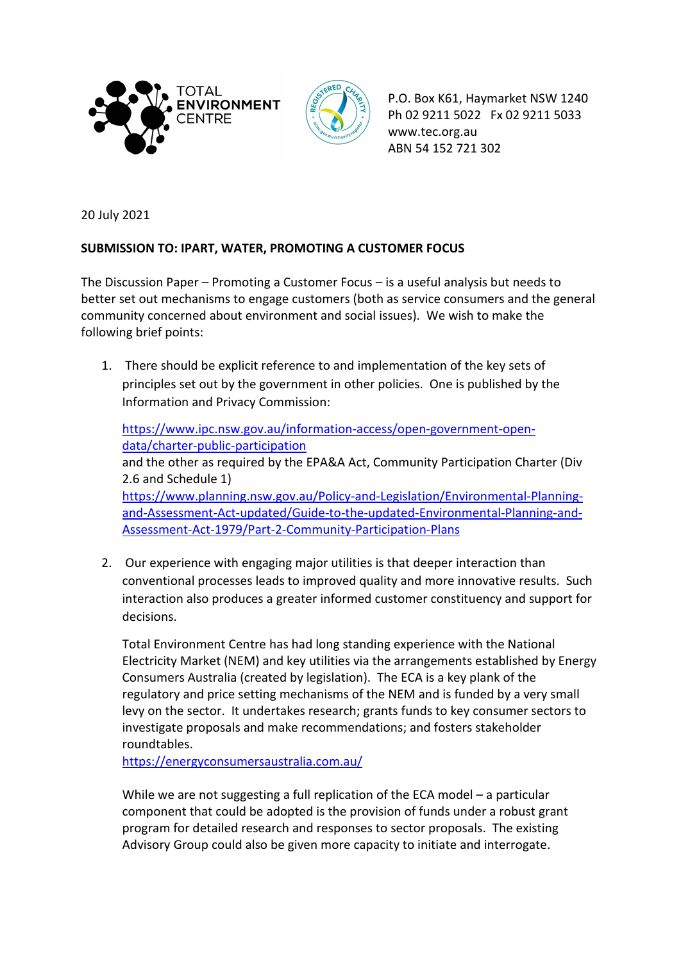



P.O. Box K61, Haymarket NSW 1240 Ph 02 9211 5022 Fx 02 9211 5033 www.tec.org.au ABN 54 152 721 302

20 July 2021

## **SUBMISSION TO: IPART, WATER, PROMOTING A CUSTOMER FOCUS**

The Discussion Paper – Promoting a Customer Focus – is a useful analysis but needs to better set out mechanisms to engage customers (both as service consumers and the general community concerned about environment and social issues). We wish to make the following brief points:

1. There should be explicit reference to and implementation of the key sets of principles set out by the government in other policies. One is published by the Information and Privacy Commission:

[https://www.ipc.nsw.gov.au/information-access/open-government-open](https://www.ipc.nsw.gov.au/information-access/open-government-open-data/charter-public-participation)[data/charter-public-participation](https://www.ipc.nsw.gov.au/information-access/open-government-open-data/charter-public-participation) and the other as required by the EPA&A Act, Community Participation Charter (Div 2.6 and Schedule 1) [https://www.planning.nsw.gov.au/Policy-and-Legislation/Environmental-Planning](https://www.planning.nsw.gov.au/Policy-and-Legislation/Environmental-Planning-and-Assessment-Act-updated/Guide-to-the-updated-Environmental-Planning-and-Assessment-Act-1979/Part-2-Community-Participation-Plans)[and-Assessment-Act-updated/Guide-to-the-updated-Environmental-Planning-and-](https://www.planning.nsw.gov.au/Policy-and-Legislation/Environmental-Planning-and-Assessment-Act-updated/Guide-to-the-updated-Environmental-Planning-and-Assessment-Act-1979/Part-2-Community-Participation-Plans)[Assessment-Act-1979/Part-2-Community-Participation-Plans](https://www.planning.nsw.gov.au/Policy-and-Legislation/Environmental-Planning-and-Assessment-Act-updated/Guide-to-the-updated-Environmental-Planning-and-Assessment-Act-1979/Part-2-Community-Participation-Plans)

2. Our experience with engaging major utilities is that deeper interaction than conventional processes leads to improved quality and more innovative results. Such interaction also produces a greater informed customer constituency and support for decisions.

Total Environment Centre has had long standing experience with the National Electricity Market (NEM) and key utilities via the arrangements established by Energy Consumers Australia (created by legislation). The ECA is a key plank of the regulatory and price setting mechanisms of the NEM and is funded by a very small levy on the sector. It undertakes research; grants funds to key consumer sectors to investigate proposals and make recommendations; and fosters stakeholder roundtables.

<https://energyconsumersaustralia.com.au/>

While we are not suggesting a full replication of the ECA model – a particular component that could be adopted is the provision of funds under a robust grant program for detailed research and responses to sector proposals. The existing Advisory Group could also be given more capacity to initiate and interrogate.